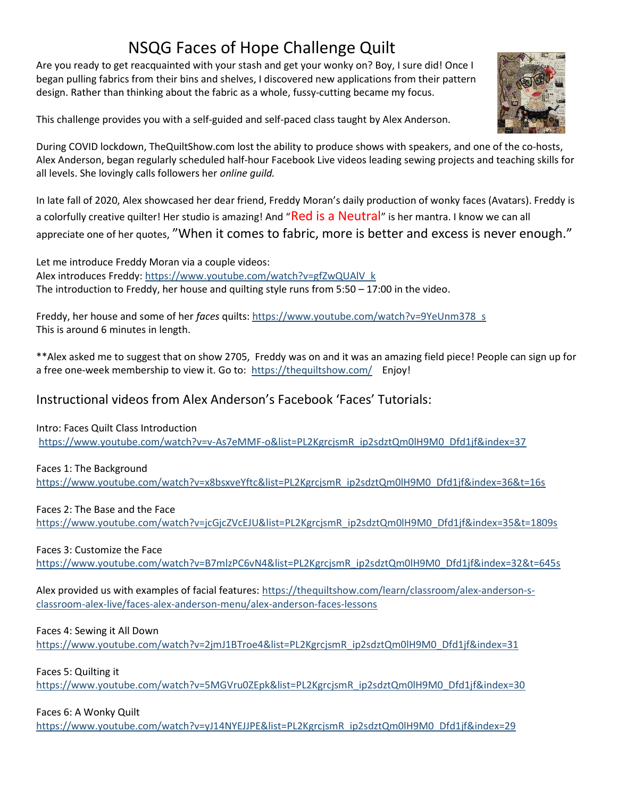# NSQG Faces of Hope Challenge Quilt

Are you ready to get reacquainted with your stash and get your wonky on? Boy, I sure did! Once I began pulling fabrics from their bins and shelves, I discovered new applications from their pattern design. Rather than thinking about the fabric as a whole, fussy-cutting became my focus.

This challenge provides you with a self-guided and self-paced class taught by Alex Anderson.



During COVID lockdown, TheQuiltShow.com lost the ability to produce shows with speakers, and one of the co-hosts, Alex Anderson, began regularly scheduled half-hour Facebook Live videos leading sewing projects and teaching skills for all levels. She lovingly calls followers her online guild.

In late fall of 2020, Alex showcased her dear friend, Freddy Moran's daily production of wonky faces (Avatars). Freddy is a colorfully creative quilter! Her studio is amazing! And "Red is a Neutral" is her mantra. I know we can all appreciate one of her quotes, "When it comes to fabric, more is better and excess is never enough."

Let me introduce Freddy Moran via a couple videos: Alex introduces Freddy: https://www.youtube.com/watch?v=gfZwQUAlV\_k The introduction to Freddy, her house and quilting style runs from 5:50 – 17:00 in the video.

Freddy, her house and some of her faces quilts: https://www.youtube.com/watch?v=9YeUnm378\_s This is around 6 minutes in length.

\*\*Alex asked me to suggest that on show 2705, Freddy was on and it was an amazing field piece! People can sign up for a free one-week membership to view it. Go to: https://thequiltshow.com/ Enjoy!

## Instructional videos from Alex Anderson's Facebook 'Faces' Tutorials:

Intro: Faces Quilt Class Introduction

https://www.youtube.com/watch?v=v-As7eMMF-o&list=PL2KgrcjsmR\_ip2sdztQm0lH9M0\_Dfd1jf&index=37

Faces 1: The Background

https://www.youtube.com/watch?v=x8bsxveYftc&list=PL2KgrcjsmR\_ip2sdztQm0lH9M0\_Dfd1jf&index=36&t=16s

Faces 2: The Base and the Face

https://www.youtube.com/watch?v=jcGjcZVcEJU&list=PL2KgrcjsmR\_ip2sdztQm0lH9M0\_Dfd1jf&index=35&t=1809s

### Faces 3: Customize the Face

https://www.youtube.com/watch?v=B7mlzPC6vN4&list=PL2KgrcjsmR\_ip2sdztQm0lH9M0\_Dfd1jf&index=32&t=645s

Alex provided us with examples of facial features: https://thequiltshow.com/learn/classroom/alex-anderson-sclassroom-alex-live/faces-alex-anderson-menu/alex-anderson-faces-lessons

### Faces 4: Sewing it All Down

https://www.youtube.com/watch?v=2jmJ1BTroe4&list=PL2KgrcjsmR\_ip2sdztQm0lH9M0\_Dfd1jf&index=31

Faces 5: Quilting it

https://www.youtube.com/watch?v=5MGVru0ZEpk&list=PL2KgrcjsmR\_ip2sdztQm0lH9M0\_Dfd1jf&index=30

### Faces 6: A Wonky Quilt

https://www.youtube.com/watch?v=yJ14NYEJJPE&list=PL2KgrcjsmR\_ip2sdztQm0lH9M0\_Dfd1jf&index=29